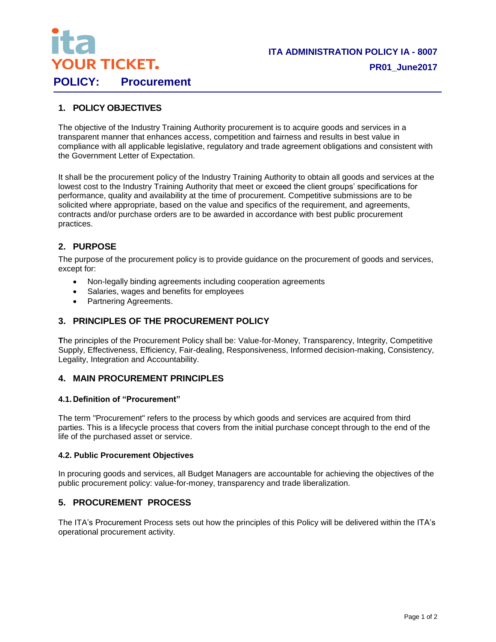

# **1. POLICY OBJECTIVES**

The objective of the Industry Training Authority procurement is to acquire goods and services in a transparent manner that enhances access, competition and fairness and results in best value in compliance with all applicable legislative, regulatory and trade agreement obligations and consistent with the Government Letter of Expectation.

It shall be the procurement policy of the Industry Training Authority to obtain all goods and services at the lowest cost to the Industry Training Authority that meet or exceed the client groups' specifications for performance, quality and availability at the time of procurement. Competitive submissions are to be solicited where appropriate, based on the value and specifics of the requirement, and agreements, contracts and/or purchase orders are to be awarded in accordance with best public procurement practices.

## **2. PURPOSE**

The purpose of the procurement policy is to provide guidance on the procurement of goods and services, except for:

- Non-legally binding agreements including cooperation agreements
- Salaries, wages and benefits for employees
- Partnering Agreements.

## **3. PRINCIPLES OF THE PROCUREMENT POLICY**

**T**he principles of the Procurement Policy shall be: Value-for-Money, Transparency, Integrity, Competitive Supply, Effectiveness, Efficiency, Fair-dealing, Responsiveness, Informed decision-making, Consistency, Legality, Integration and Accountability.

### **4. MAIN PROCUREMENT PRINCIPLES**

#### **4.1. Definition of "Procurement"**

The term "Procurement" refers to the process by which goods and services are acquired from third parties. This is a lifecycle process that covers from the initial purchase concept through to the end of the life of the purchased asset or service.

#### **4.2. Public Procurement Objectives**

In procuring goods and services, all Budget Managers are accountable for achieving the objectives of the public procurement policy: value-for-money, transparency and trade liberalization.

### **5. PROCUREMENT PROCESS**

The ITA's Procurement Process sets out how the principles of this Policy will be delivered within the ITA's operational procurement activity.